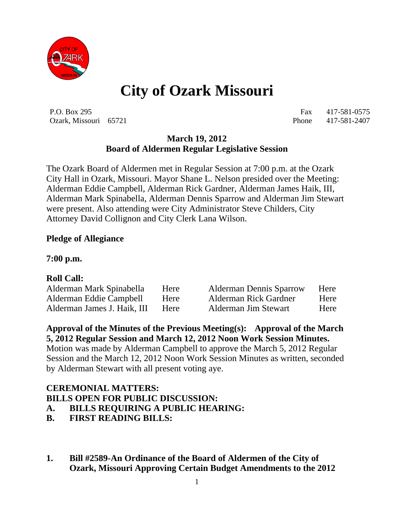

# **City of Ozark Missouri**

P.O. Box 295 Fax 417-581-0575 Ozark, Missouri 65721 Phone 417-581-2407

# **March 19, 2012 Board of Aldermen Regular Legislative Session**

The Ozark Board of Aldermen met in Regular Session at 7:00 p.m. at the Ozark City Hall in Ozark, Missouri. Mayor Shane L. Nelson presided over the Meeting: Alderman Eddie Campbell, Alderman Rick Gardner, Alderman James Haik, III, Alderman Mark Spinabella, Alderman Dennis Sparrow and Alderman Jim Stewart were present. Also attending were City Administrator Steve Childers, City Attorney David Collignon and City Clerk Lana Wilson.

### **Pledge of Allegiance**

**7:00 p.m.**

#### **Roll Call:**

| Alderman Mark Spinabella    | Here        | <b>Alderman Dennis Sparrow</b> | Here |
|-----------------------------|-------------|--------------------------------|------|
| Alderman Eddie Campbell     | Here        | <b>Alderman Rick Gardner</b>   | Here |
| Alderman James J. Haik, III | <b>Here</b> | Alderman Jim Stewart           | Here |

**Approval of the Minutes of the Previous Meeting(s): Approval of the March 5, 2012 Regular Session and March 12, 2012 Noon Work Session Minutes.**

Motion was made by Alderman Campbell to approve the March 5, 2012 Regular Session and the March 12, 2012 Noon Work Session Minutes as written, seconded by Alderman Stewart with all present voting aye.

#### **CEREMONIAL MATTERS: BILLS OPEN FOR PUBLIC DISCUSSION:**

- **A. BILLS REQUIRING A PUBLIC HEARING:**
- **B. FIRST READING BILLS:**
- **1. Bill #2589-An Ordinance of the Board of Aldermen of the City of Ozark, Missouri Approving Certain Budget Amendments to the 2012**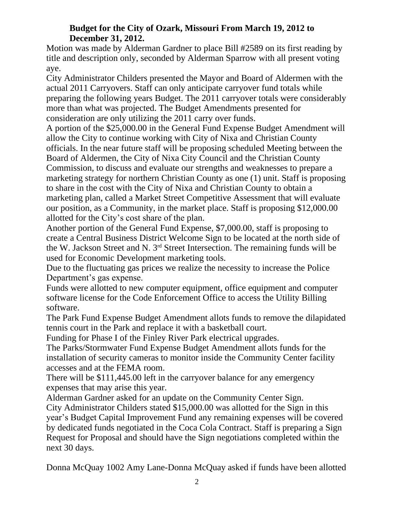### **Budget for the City of Ozark, Missouri From March 19, 2012 to December 31, 2012.**

Motion was made by Alderman Gardner to place Bill #2589 on its first reading by title and description only, seconded by Alderman Sparrow with all present voting aye.

City Administrator Childers presented the Mayor and Board of Aldermen with the actual 2011 Carryovers. Staff can only anticipate carryover fund totals while preparing the following years Budget. The 2011 carryover totals were considerably more than what was projected. The Budget Amendments presented for consideration are only utilizing the 2011 carry over funds.

A portion of the \$25,000.00 in the General Fund Expense Budget Amendment will allow the City to continue working with City of Nixa and Christian County officials. In the near future staff will be proposing scheduled Meeting between the Board of Aldermen, the City of Nixa City Council and the Christian County Commission, to discuss and evaluate our strengths and weaknesses to prepare a marketing strategy for northern Christian County as one (1) unit. Staff is proposing to share in the cost with the City of Nixa and Christian County to obtain a marketing plan, called a Market Street Competitive Assessment that will evaluate our position, as a Community, in the market place. Staff is proposing \$12,000.00 allotted for the City's cost share of the plan.

Another portion of the General Fund Expense, \$7,000.00, staff is proposing to create a Central Business District Welcome Sign to be located at the north side of the W. Jackson Street and N. 3rd Street Intersection. The remaining funds will be used for Economic Development marketing tools.

Due to the fluctuating gas prices we realize the necessity to increase the Police Department's gas expense.

Funds were allotted to new computer equipment, office equipment and computer software license for the Code Enforcement Office to access the Utility Billing software.

The Park Fund Expense Budget Amendment allots funds to remove the dilapidated tennis court in the Park and replace it with a basketball court.

Funding for Phase I of the Finley River Park electrical upgrades.

The Parks/Stormwater Fund Expense Budget Amendment allots funds for the installation of security cameras to monitor inside the Community Center facility accesses and at the FEMA room.

There will be \$111,445.00 left in the carryover balance for any emergency expenses that may arise this year.

Alderman Gardner asked for an update on the Community Center Sign.

City Administrator Childers stated \$15,000.00 was allotted for the Sign in this year's Budget Capital Improvement Fund any remaining expenses will be covered by dedicated funds negotiated in the Coca Cola Contract. Staff is preparing a Sign Request for Proposal and should have the Sign negotiations completed within the next 30 days.

Donna McQuay 1002 Amy Lane-Donna McQuay asked if funds have been allotted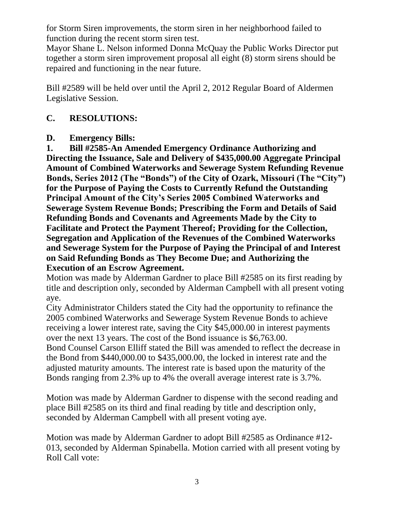for Storm Siren improvements, the storm siren in her neighborhood failed to function during the recent storm siren test.

Mayor Shane L. Nelson informed Donna McQuay the Public Works Director put together a storm siren improvement proposal all eight (8) storm sirens should be repaired and functioning in the near future.

Bill #2589 will be held over until the April 2, 2012 Regular Board of Aldermen Legislative Session.

# **C. RESOLUTIONS:**

### **D. Emergency Bills:**

**1. Bill #2585-An Amended Emergency Ordinance Authorizing and Directing the Issuance, Sale and Delivery of \$435,000.00 Aggregate Principal Amount of Combined Waterworks and Sewerage System Refunding Revenue Bonds, Series 2012 (The "Bonds") of the City of Ozark, Missouri (The "City") for the Purpose of Paying the Costs to Currently Refund the Outstanding Principal Amount of the City's Series 2005 Combined Waterworks and Sewerage System Revenue Bonds; Prescribing the Form and Details of Said Refunding Bonds and Covenants and Agreements Made by the City to Facilitate and Protect the Payment Thereof; Providing for the Collection, Segregation and Application of the Revenues of the Combined Waterworks and Sewerage System for the Purpose of Paying the Principal of and Interest on Said Refunding Bonds as They Become Due; and Authorizing the Execution of an Escrow Agreement.** 

Motion was made by Alderman Gardner to place Bill #2585 on its first reading by title and description only, seconded by Alderman Campbell with all present voting aye.

City Administrator Childers stated the City had the opportunity to refinance the 2005 combined Waterworks and Sewerage System Revenue Bonds to achieve receiving a lower interest rate, saving the City \$45,000.00 in interest payments over the next 13 years. The cost of the Bond issuance is \$6,763.00.

Bond Counsel Carson Elliff stated the Bill was amended to reflect the decrease in the Bond from \$440,000.00 to \$435,000.00, the locked in interest rate and the adjusted maturity amounts. The interest rate is based upon the maturity of the Bonds ranging from 2.3% up to 4% the overall average interest rate is 3.7%.

Motion was made by Alderman Gardner to dispense with the second reading and place Bill #2585 on its third and final reading by title and description only, seconded by Alderman Campbell with all present voting aye.

Motion was made by Alderman Gardner to adopt Bill #2585 as Ordinance #12- 013, seconded by Alderman Spinabella. Motion carried with all present voting by Roll Call vote: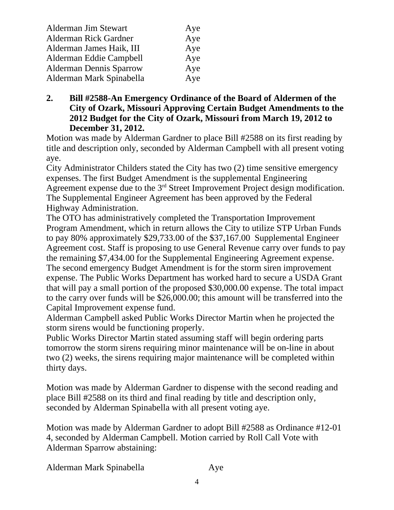| Alderman Jim Stewart           | Aye |
|--------------------------------|-----|
| <b>Alderman Rick Gardner</b>   | Aye |
| Alderman James Haik, III       | Aye |
| Alderman Eddie Campbell        | Aye |
| <b>Alderman Dennis Sparrow</b> | Aye |
| Alderman Mark Spinabella       | Aye |

**2. Bill #2588-An Emergency Ordinance of the Board of Aldermen of the City of Ozark, Missouri Approving Certain Budget Amendments to the 2012 Budget for the City of Ozark, Missouri from March 19, 2012 to December 31, 2012.**

Motion was made by Alderman Gardner to place Bill #2588 on its first reading by title and description only, seconded by Alderman Campbell with all present voting aye.

City Administrator Childers stated the City has two (2) time sensitive emergency expenses. The first Budget Amendment is the supplemental Engineering Agreement expense due to the  $3<sup>rd</sup>$  Street Improvement Project design modification. The Supplemental Engineer Agreement has been approved by the Federal Highway Administration.

The OTO has administratively completed the Transportation Improvement Program Amendment, which in return allows the City to utilize STP Urban Funds to pay 80% approximately \$29,733.00 of the \$37,167.00 Supplemental Engineer Agreement cost. Staff is proposing to use General Revenue carry over funds to pay the remaining \$7,434.00 for the Supplemental Engineering Agreement expense. The second emergency Budget Amendment is for the storm siren improvement expense. The Public Works Department has worked hard to secure a USDA Grant that will pay a small portion of the proposed \$30,000.00 expense. The total impact to the carry over funds will be \$26,000.00; this amount will be transferred into the Capital Improvement expense fund.

Alderman Campbell asked Public Works Director Martin when he projected the storm sirens would be functioning properly.

Public Works Director Martin stated assuming staff will begin ordering parts tomorrow the storm sirens requiring minor maintenance will be on-line in about two (2) weeks, the sirens requiring major maintenance will be completed within thirty days.

Motion was made by Alderman Gardner to dispense with the second reading and place Bill #2588 on its third and final reading by title and description only, seconded by Alderman Spinabella with all present voting aye.

Motion was made by Alderman Gardner to adopt Bill #2588 as Ordinance #12-01 4, seconded by Alderman Campbell. Motion carried by Roll Call Vote with Alderman Sparrow abstaining:

Alderman Mark Spinabella Aye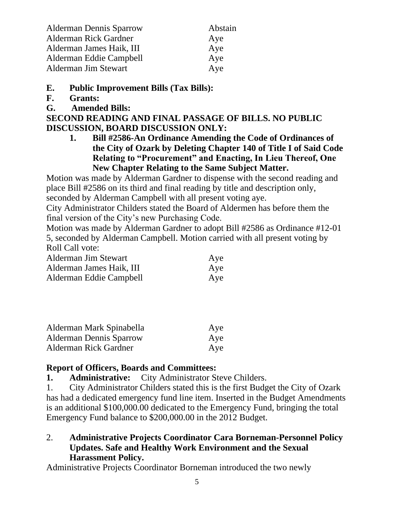| <b>Alderman Dennis Sparrow</b> | Abstain |
|--------------------------------|---------|
| <b>Alderman Rick Gardner</b>   | Aye     |
| Alderman James Haik, III       | Aye     |
| Alderman Eddie Campbell        | Aye     |
| Alderman Jim Stewart           | Aye     |

## **E. Public Improvement Bills (Tax Bills):**

- **F. Grants:**
- **G. Amended Bills:**

#### **SECOND READING AND FINAL PASSAGE OF BILLS. NO PUBLIC DISCUSSION, BOARD DISCUSSION ONLY:**

**1. Bill #2586-An Ordinance Amending the Code of Ordinances of the City of Ozark by Deleting Chapter 140 of Title I of Said Code Relating to "Procurement" and Enacting, In Lieu Thereof, One New Chapter Relating to the Same Subject Matter.**

Motion was made by Alderman Gardner to dispense with the second reading and place Bill #2586 on its third and final reading by title and description only, seconded by Alderman Campbell with all present voting aye.

City Administrator Childers stated the Board of Aldermen has before them the final version of the City's new Purchasing Code.

Motion was made by Alderman Gardner to adopt Bill #2586 as Ordinance #12-01 5, seconded by Alderman Campbell. Motion carried with all present voting by Roll Call vote:

| Alderman Jim Stewart     | Aye |
|--------------------------|-----|
| Alderman James Haik, III | Aye |
| Alderman Eddie Campbell  | Aye |

| Alderman Mark Spinabella       | Aye |
|--------------------------------|-----|
| <b>Alderman Dennis Sparrow</b> | Aye |
| Alderman Rick Gardner          | Aye |

# **Report of Officers, Boards and Committees:**

**1. Administrative:** City Administrator Steve Childers.

1. City Administrator Childers stated this is the first Budget the City of Ozark has had a dedicated emergency fund line item. Inserted in the Budget Amendments is an additional \$100,000.00 dedicated to the Emergency Fund, bringing the total Emergency Fund balance to \$200,000.00 in the 2012 Budget.

# 2. **Administrative Projects Coordinator Cara Borneman-Personnel Policy Updates. Safe and Healthy Work Environment and the Sexual Harassment Policy.**

Administrative Projects Coordinator Borneman introduced the two newly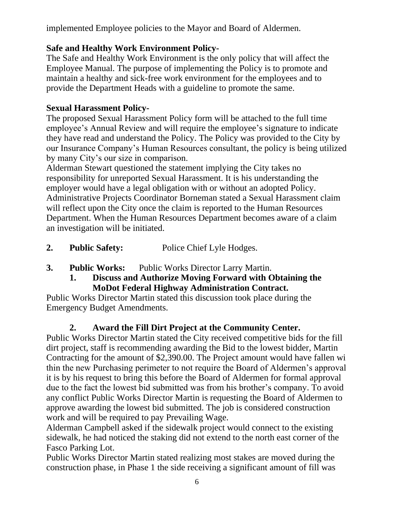implemented Employee policies to the Mayor and Board of Aldermen.

# **Safe and Healthy Work Environment Policy-**

The Safe and Healthy Work Environment is the only policy that will affect the Employee Manual. The purpose of implementing the Policy is to promote and maintain a healthy and sick-free work environment for the employees and to provide the Department Heads with a guideline to promote the same.

# **Sexual Harassment Policy-**

The proposed Sexual Harassment Policy form will be attached to the full time employee's Annual Review and will require the employee's signature to indicate they have read and understand the Policy. The Policy was provided to the City by our Insurance Company's Human Resources consultant, the policy is being utilized by many City's our size in comparison.

Alderman Stewart questioned the statement implying the City takes no responsibility for unreported Sexual Harassment. It is his understanding the employer would have a legal obligation with or without an adopted Policy. Administrative Projects Coordinator Borneman stated a Sexual Harassment claim will reflect upon the City once the claim is reported to the Human Resources Department. When the Human Resources Department becomes aware of a claim an investigation will be initiated.

- **2. Public Safety:** Police Chief Lyle Hodges.
- **3. Public Works:** Public Works Director Larry Martin.
	- **1. Discuss and Authorize Moving Forward with Obtaining the MoDot Federal Highway Administration Contract.**

Public Works Director Martin stated this discussion took place during the Emergency Budget Amendments.

# **2. Award the Fill Dirt Project at the Community Center.**

Public Works Director Martin stated the City received competitive bids for the fill dirt project, staff is recommending awarding the Bid to the lowest bidder, Martin Contracting for the amount of \$2,390.00. The Project amount would have fallen wi thin the new Purchasing perimeter to not require the Board of Aldermen's approval it is by his request to bring this before the Board of Aldermen for formal approval due to the fact the lowest bid submitted was from his brother's company. To avoid any conflict Public Works Director Martin is requesting the Board of Aldermen to approve awarding the lowest bid submitted. The job is considered construction work and will be required to pay Prevailing Wage.

Alderman Campbell asked if the sidewalk project would connect to the existing sidewalk, he had noticed the staking did not extend to the north east corner of the Fasco Parking Lot.

Public Works Director Martin stated realizing most stakes are moved during the construction phase, in Phase 1 the side receiving a significant amount of fill was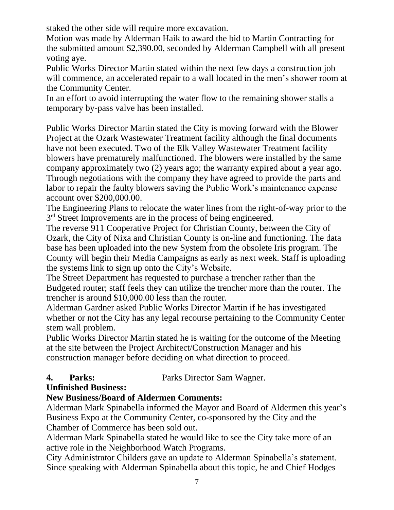staked the other side will require more excavation.

Motion was made by Alderman Haik to award the bid to Martin Contracting for the submitted amount \$2,390.00, seconded by Alderman Campbell with all present voting aye.

Public Works Director Martin stated within the next few days a construction job will commence, an accelerated repair to a wall located in the men's shower room at the Community Center.

In an effort to avoid interrupting the water flow to the remaining shower stalls a temporary by-pass valve has been installed.

Public Works Director Martin stated the City is moving forward with the Blower Project at the Ozark Wastewater Treatment facility although the final documents have not been executed. Two of the Elk Valley Wastewater Treatment facility blowers have prematurely malfunctioned. The blowers were installed by the same company approximately two (2) years ago; the warranty expired about a year ago. Through negotiations with the company they have agreed to provide the parts and labor to repair the faulty blowers saving the Public Work's maintenance expense account over \$200,000.00.

The Engineering Plans to relocate the water lines from the right-of-way prior to the 3<sup>rd</sup> Street Improvements are in the process of being engineered.

The reverse 911 Cooperative Project for Christian County, between the City of Ozark, the City of Nixa and Christian County is on-line and functioning. The data base has been uploaded into the new System from the obsolete Iris program. The County will begin their Media Campaigns as early as next week. Staff is uploading the systems link to sign up onto the City's Website.

The Street Department has requested to purchase a trencher rather than the Budgeted router; staff feels they can utilize the trencher more than the router. The trencher is around \$10,000.00 less than the router.

Alderman Gardner asked Public Works Director Martin if he has investigated whether or not the City has any legal recourse pertaining to the Community Center stem wall problem.

Public Works Director Martin stated he is waiting for the outcome of the Meeting at the site between the Project Architect/Construction Manager and his construction manager before deciding on what direction to proceed.

**4. Parks:** Parks Director Sam Wagner.

# **Unfinished Business:**

# **New Business/Board of Aldermen Comments:**

Alderman Mark Spinabella informed the Mayor and Board of Aldermen this year's Business Expo at the Community Center, co-sponsored by the City and the Chamber of Commerce has been sold out.

Alderman Mark Spinabella stated he would like to see the City take more of an active role in the Neighborhood Watch Programs.

City Administrator Childers gave an update to Alderman Spinabella's statement. Since speaking with Alderman Spinabella about this topic, he and Chief Hodges